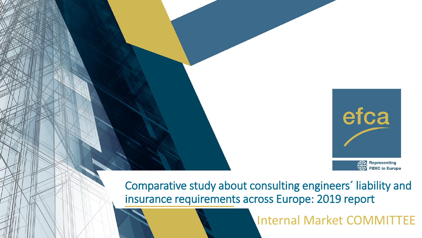

Comparative study about consulting engineers´ liability and insurance requirements across Europe: 2019 report

Internal Market COMMITTEE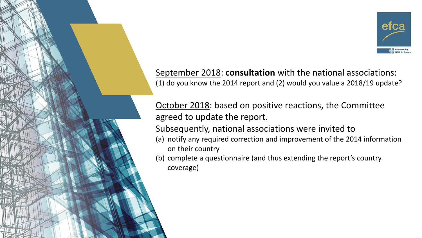

September 2018: **consultation** with the national associations: (1) do you know the 2014 report and (2) would you value a 2018/19 update?

October 2018: based on positive reactions, the Committee agreed to update the report.

Subsequently, national associations were invited to

(a) notify any required correction and improvement of the 2014 information on their country

(b) complete a questionnaire (and thus extending the report's country coverage)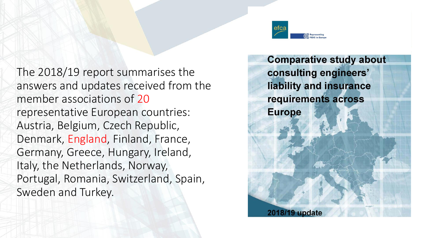The 2018/19 report summarises the answers and updates received from the member associations of 20 representative European countries: Austria, Belgium, Czech Republic, Denmark, England, Finland, France, Germany, Greece, Hungary, Ireland, Italy, the Netherlands, Norway, Portugal, Romania, Switzerland, Spain, Sweden and Turkey.



**Comparative study about** consulting engineers' liability and insurance requirements across **Europe** 2018/19 update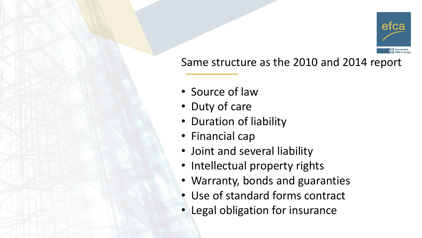

### Same structure as the 2010 and 2014 report

- Source of law
- Duty of care
- Duration of liability
- Financial cap
- Joint and several liability
- Intellectual property rights
- Warranty, bonds and guaranties
- Use of standard forms contract
- Legal obligation for insurance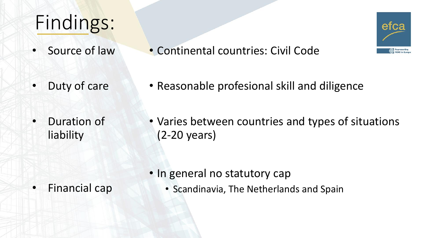# Findings:

- Source of law
- Duty of care
- Duration of liability

• Varies between countries and types of situations (2-20 years)

• Financial cap

• Scandinavia, The Netherlands and Spain

• In general no statutory cap



• Reasonable profesional skill and diligence

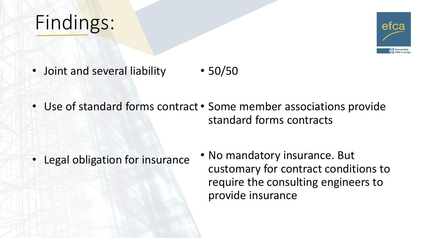## Findings:



- Joint and several liability • 50/50
- Use of standard forms contract Some member associations provide standard forms contracts

- Legal obligation for insurance
- No mandatory insurance. But customary for contract conditions to require the consulting engineers to provide insurance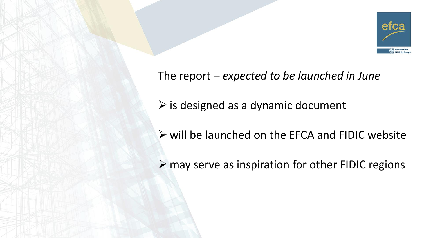

#### The report – *expected to be launched in June*

- $\triangleright$  is designed as a dynamic document
- ➢ will be launched on the EFCA and FIDIC website
- ➢ may serve as inspiration for other FIDIC regions